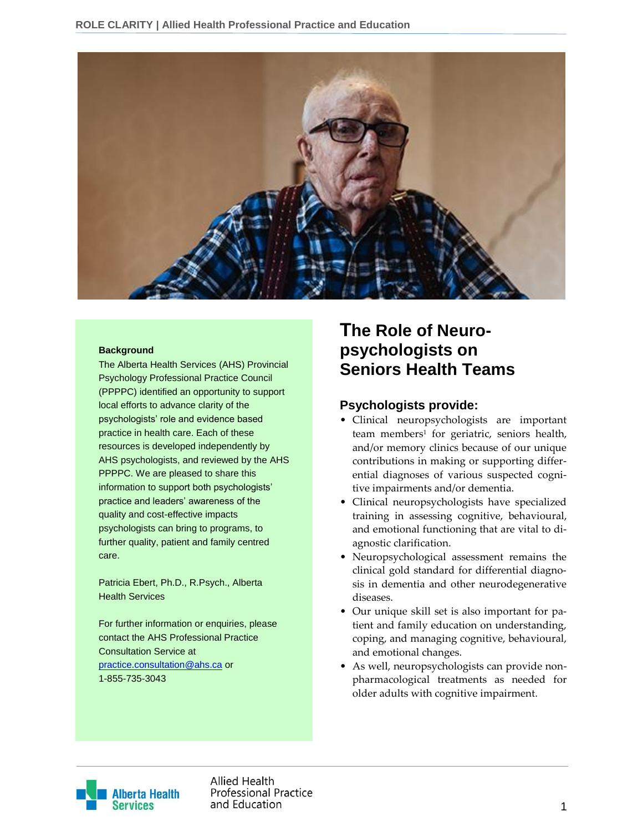

#### **Background**

The Alberta Health Services (AHS) Provincial Psychology Professional Practice Council (PPPPC) identified an opportunity to support local efforts to advance clarity of the psychologists' role and evidence based practice in health care. Each of these resources is developed independently by AHS psychologists, and reviewed by the AHS PPPPC. We are pleased to share this information to support both psychologists' practice and leaders' awareness of the quality and cost-effective impacts psychologists can bring to programs, to further quality, patient and family centred care.

Patricia Ebert, Ph.D., R.Psych., Alberta Health Services

For further information or enquiries, please contact the AHS Professional Practice Consultation Service at [practice.consultation@ahs.ca](mailto:practice.consultation@ahs.ca) or 1-855-735-3043

# **The Role of Neuropsychologists on Seniors Health Teams**

### **Psychologists provide:**

- Clinical neuropsychologists are important team members<sup>1</sup> for geriatric, seniors health, and/or memory clinics because of our unique contributions in making or supporting differential diagnoses of various suspected cognitive impairments and/or dementia.
- Clinical neuropsychologists have specialized training in assessing cognitive, behavioural, and emotional functioning that are vital to diagnostic clarification.
- Neuropsychological assessment remains the clinical gold standard for differential diagnosis in dementia and other neurodegenerative diseases.
- Our unique skill set is also important for patient and family education on understanding, coping, and managing cognitive, behavioural, and emotional changes.
- As well, neuropsychologists can provide nonpharmacological treatments as needed for older adults with cognitive impairment.



Allied Health **Professional Practice** and Education and Education and Education and Education and Education and Education and Education and Education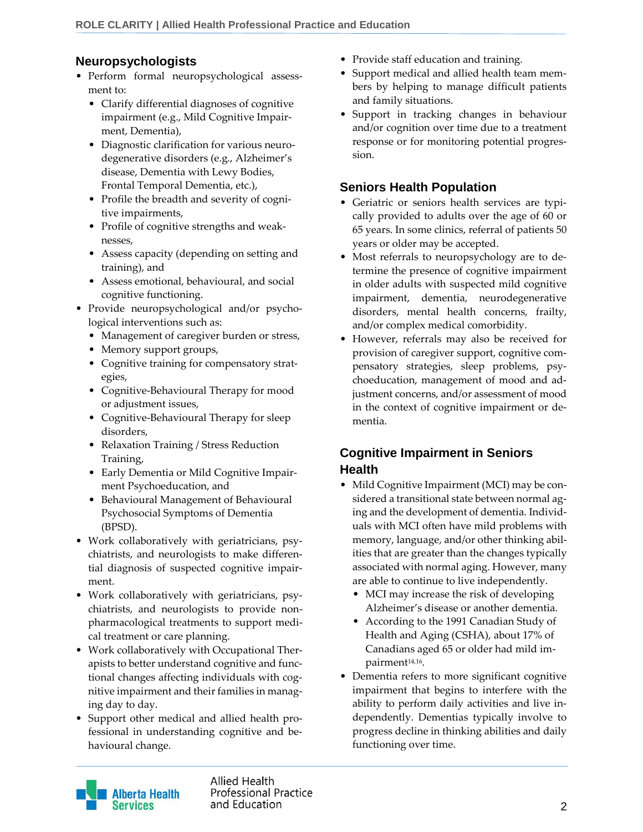## **Neuropsychologists**

- Perform formal neuropsychological assessment to:
	- Clarify differential diagnoses of cognitive impairment (e.g., Mild Cognitive Impairment, Dementia),
	- Diagnostic clarification for various neurodegenerative disorders (e.g., Alzheimer's disease, Dementia with Lewy Bodies, Frontal Temporal Dementia, etc.),
	- Profile the breadth and severity of cognitive impairments,
	- Profile of cognitive strengths and weaknesses,
	- Assess capacity (depending on setting and training), and
	- Assess emotional, behavioural, and social cognitive functioning.
- Provide neuropsychological and/or psychological interventions such as:
	- Management of caregiver burden or stress,
	- Memory support groups,
	- Cognitive training for compensatory strategies,
	- Cognitive-Behavioural Therapy for mood or adjustment issues,
	- Cognitive-Behavioural Therapy for sleep disorders,
	- Relaxation Training / Stress Reduction Training,
	- Early Dementia or Mild Cognitive Impairment Psychoeducation, and
	- Behavioural Management of Behavioural Psychosocial Symptoms of Dementia (BPSD).
- Work collaboratively with geriatricians, psychiatrists, and neurologists to make differential diagnosis of suspected cognitive impairment.
- Work collaboratively with geriatricians, psychiatrists, and neurologists to provide nonpharmacological treatments to support medical treatment or care planning.
- Work collaboratively with Occupational Therapists to better understand cognitive and functional changes affecting individuals with cognitive impairment and their families in managing day to day.
- Support other medical and allied health professional in understanding cognitive and behavioural change.
- Provide staff education and training.
- Support medical and allied health team members by helping to manage difficult patients and family situations.
- Support in tracking changes in behaviour and/or cognition over time due to a treatment response or for monitoring potential progression.

### **Seniors Health Population**

- Geriatric or seniors health services are typically provided to adults over the age of 60 or 65 years. In some clinics, referral of patients 50 years or older may be accepted.
- Most referrals to neuropsychology are to determine the presence of cognitive impairment in older adults with suspected mild cognitive impairment, dementia, neurodegenerative disorders, mental health concerns, frailty, and/or complex medical comorbidity.
- However, referrals may also be received for provision of caregiver support, cognitive compensatory strategies, sleep problems, psychoeducation, management of mood and adjustment concerns, and/or assessment of mood in the context of cognitive impairment or dementia.

### **Cognitive Impairment in Seniors Health**

- Mild Cognitive Impairment (MCI) may be considered a transitional state between normal aging and the development of dementia. Individuals with MCI often have mild problems with memory, language, and/or other thinking abilities that are greater than the changes typically associated with normal aging. However, many are able to continue to live independently.
	- MCI may increase the risk of developing Alzheimer's disease or another dementia.
	- According to the 1991 Canadian Study of Health and Aging (CSHA), about 17% of Canadians aged 65 or older had mild impairment14,16 .
- Dementia refers to more significant cognitive impairment that begins to interfere with the ability to perform daily activities and live independently. Dementias typically involve to progress decline in thinking abilities and daily functioning over time.



Allied Health **Professional Practice** and Education 22 and 2012 12:00 to 22 and 23 and 23 and 23 and 23 and 23 and 23 and 23 and 23 and 23 and 23 and 23 and 23 and 23 and 23 and 23 and 23 and 23 and 23 and 23 and 23 and 23 and 23 and 23 and 23 and 23 and 23 an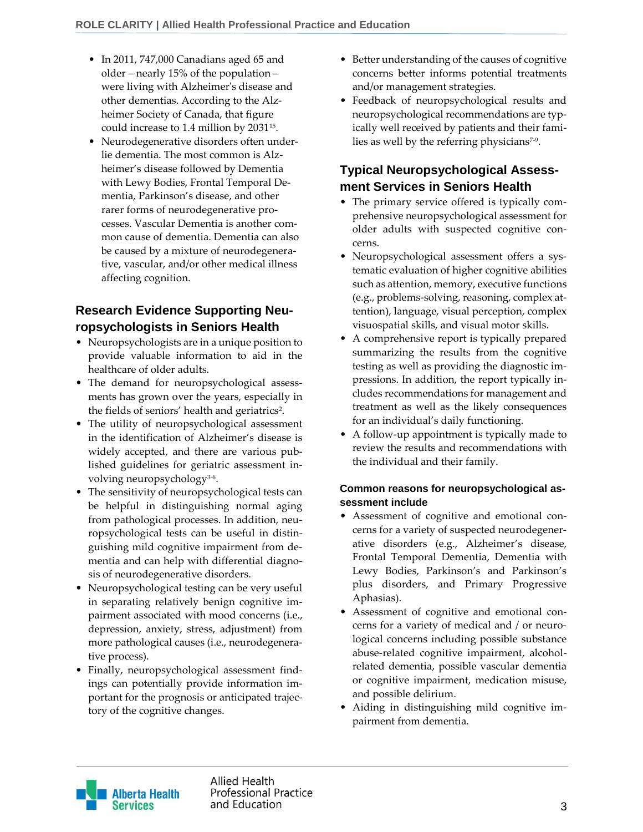- In 2011, 747,000 Canadians aged 65 and older – nearly 15% of the population – were living with Alzheimer's disease and other dementias. According to the Alzheimer Society of Canada, that figure could increase to 1.4 million by 2031<sup>15</sup> .
- Neurodegenerative disorders often underlie dementia. The most common is Alzheimer's disease followed by Dementia with Lewy Bodies, Frontal Temporal Dementia, Parkinson's disease, and other rarer forms of neurodegenerative processes. Vascular Dementia is another common cause of dementia. Dementia can also be caused by a mixture of neurodegenerative, vascular, and/or other medical illness affecting cognition.

# **Research Evidence Supporting Neuropsychologists in Seniors Health**

- Neuropsychologists are in a unique position to provide valuable information to aid in the healthcare of older adults.
- The demand for neuropsychological assessments has grown over the years, especially in the fields of seniors' health and geriatrics<sup>2</sup>.
- The utility of neuropsychological assessment in the identification of Alzheimer's disease is widely accepted, and there are various published guidelines for geriatric assessment involving neuropsychology3-6 .
- The sensitivity of neuropsychological tests can be helpful in distinguishing normal aging from pathological processes. In addition, neuropsychological tests can be useful in distinguishing mild cognitive impairment from dementia and can help with differential diagnosis of neurodegenerative disorders.
- Neuropsychological testing can be very useful in separating relatively benign cognitive impairment associated with mood concerns (i.e., depression, anxiety, stress, adjustment) from more pathological causes (i.e., neurodegenerative process).
- Finally, neuropsychological assessment findings can potentially provide information important for the prognosis or anticipated trajectory of the cognitive changes.
- Better understanding of the causes of cognitive concerns better informs potential treatments and/or management strategies.
- Feedback of neuropsychological results and neuropsychological recommendations are typically well received by patients and their families as well by the referring physicians<sup>7-9</sup>.

## **Typical Neuropsychological Assessment Services in Seniors Health**

- The primary service offered is typically comprehensive neuropsychological assessment for older adults with suspected cognitive concerns.
- Neuropsychological assessment offers a systematic evaluation of higher cognitive abilities such as attention, memory, executive functions (e.g., problems-solving, reasoning, complex attention), language, visual perception, complex visuospatial skills, and visual motor skills.
- A comprehensive report is typically prepared summarizing the results from the cognitive testing as well as providing the diagnostic impressions. In addition, the report typically includes recommendations for management and treatment as well as the likely consequences for an individual's daily functioning.
- A follow-up appointment is typically made to review the results and recommendations with the individual and their family.

#### **Common reasons for neuropsychological assessment include**

- Assessment of cognitive and emotional concerns for a variety of suspected neurodegenerative disorders (e.g., Alzheimer's disease, Frontal Temporal Dementia, Dementia with Lewy Bodies, Parkinson's and Parkinson's plus disorders, and Primary Progressive Aphasias).
- Assessment of cognitive and emotional concerns for a variety of medical and / or neurological concerns including possible substance abuse-related cognitive impairment, alcoholrelated dementia, possible vascular dementia or cognitive impairment, medication misuse, and possible delirium.
- Aiding in distinguishing mild cognitive impairment from dementia.

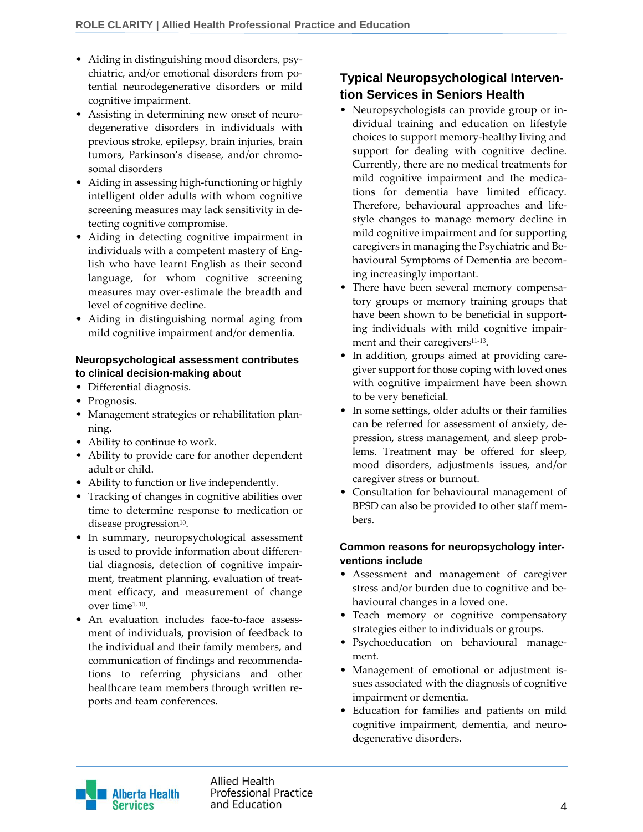- Aiding in distinguishing mood disorders, psychiatric, and/or emotional disorders from potential neurodegenerative disorders or mild cognitive impairment.
- Assisting in determining new onset of neurodegenerative disorders in individuals with previous stroke, epilepsy, brain injuries, brain tumors, Parkinson's disease, and/or chromosomal disorders
- Aiding in assessing high-functioning or highly intelligent older adults with whom cognitive screening measures may lack sensitivity in detecting cognitive compromise.
- Aiding in detecting cognitive impairment in individuals with a competent mastery of English who have learnt English as their second language, for whom cognitive screening measures may over-estimate the breadth and level of cognitive decline.
- Aiding in distinguishing normal aging from mild cognitive impairment and/or dementia.

#### **Neuropsychological assessment contributes to clinical decision-making about**

- Differential diagnosis.
- Prognosis.
- Management strategies or rehabilitation planning.
- Ability to continue to work.
- Ability to provide care for another dependent adult or child.
- Ability to function or live independently.
- Tracking of changes in cognitive abilities over time to determine response to medication or disease progression $^{10}$ .
- In summary, neuropsychological assessment is used to provide information about differential diagnosis, detection of cognitive impairment, treatment planning, evaluation of treatment efficacy, and measurement of change over time1, 10 .
- An evaluation includes face-to-face assessment of individuals, provision of feedback to the individual and their family members, and communication of findings and recommendations to referring physicians and other healthcare team members through written reports and team conferences.

# **Typical Neuropsychological Intervention Services in Seniors Health**

- Neuropsychologists can provide group or individual training and education on lifestyle choices to support memory-healthy living and support for dealing with cognitive decline. Currently, there are no medical treatments for mild cognitive impairment and the medications for dementia have limited efficacy. Therefore, behavioural approaches and lifestyle changes to manage memory decline in mild cognitive impairment and for supporting caregivers in managing the Psychiatric and Behavioural Symptoms of Dementia are becoming increasingly important.
- There have been several memory compensatory groups or memory training groups that have been shown to be beneficial in supporting individuals with mild cognitive impairment and their caregivers<sup>11-13</sup>.
- In addition, groups aimed at providing caregiver support for those coping with loved ones with cognitive impairment have been shown to be very beneficial.
- In some settings, older adults or their families can be referred for assessment of anxiety, depression, stress management, and sleep problems. Treatment may be offered for sleep, mood disorders, adjustments issues, and/or caregiver stress or burnout.
- Consultation for behavioural management of BPSD can also be provided to other staff members.

#### **Common reasons for neuropsychology interventions include**

- Assessment and management of caregiver stress and/or burden due to cognitive and behavioural changes in a loved one.
- Teach memory or cognitive compensatory strategies either to individuals or groups.
- Psychoeducation on behavioural management.
- Management of emotional or adjustment issues associated with the diagnosis of cognitive impairment or dementia.
- Education for families and patients on mild cognitive impairment, dementia, and neurodegenerative disorders.

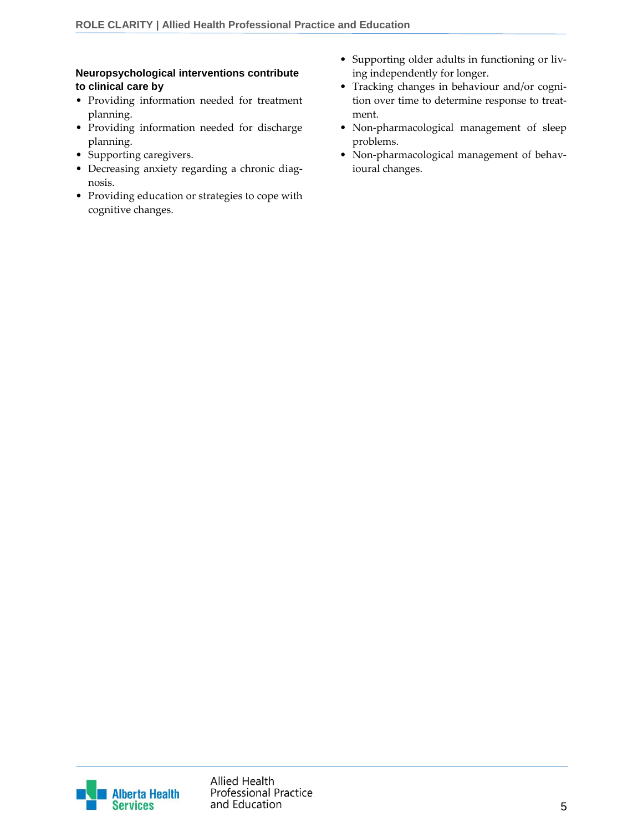#### **Neuropsychological interventions contribute to clinical care by**

- Providing information needed for treatment planning.
- Providing information needed for discharge planning.
- Supporting caregivers.
- Decreasing anxiety regarding a chronic diagnosis.
- Providing education or strategies to cope with cognitive changes.
- Supporting older adults in functioning or living independently for longer.
- Tracking changes in behaviour and/or cognition over time to determine response to treatment.
- Non-pharmacological management of sleep problems.
- Non-pharmacological management of behavioural changes.

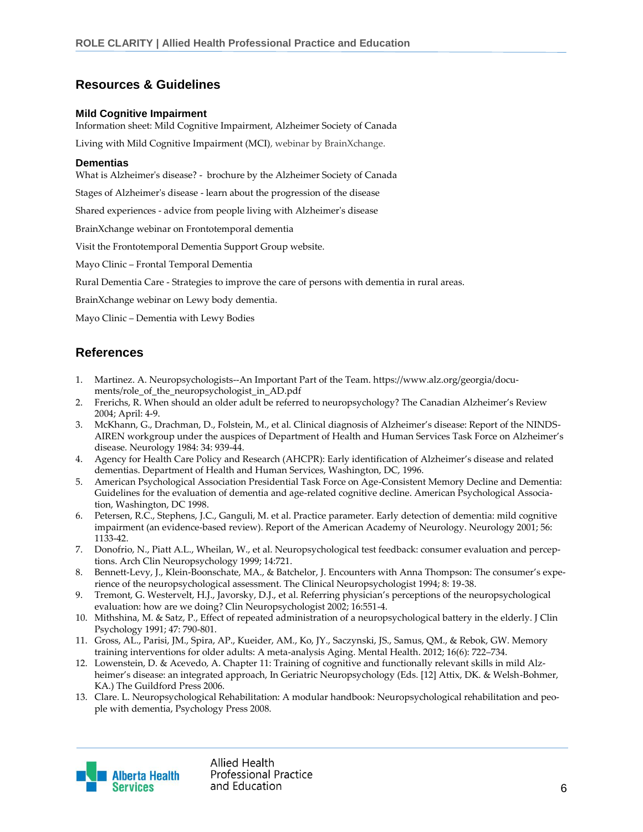### **Resources & Guidelines**

#### **Mild Cognitive Impairment**

Information sheet: [Mild Cognitive Impairment,](http://www.alzheimer.ca/sites/default/files/files/national/other-dementias/other_dementias_mci_e.pdf) Alzheimer Society of Canada

[Living with Mild Cognitive Impairment \(MCI\),](https://vimeo.com/75826507) webinar by BrainXchange.

#### **Dementias**

[What is Alzheimer's disease?](http://www.alzheimer.ca/sites/default/files/files/national/core-lit-brochures/what_is_ad_e.pdf) - brochure by the Alzheimer Society of Canada

[Stages of Alzheimer's disease](http://www.alzheimer.ca/en/Home/About-dementia/Alzheimer-s-disease/Stages-of-Alzheimer-s-disease) - learn about the progression of the disease

[Shared experiences](http://www.alzheimer.ca/en/Home/Living-with-dementia/I-have-dementia/Shared-experiences) - advice from people living with Alzheimer's disease

BrainXchange [webinar on Frontotemporal dementia](http://brainxchange.ca/Public/Events/Archived-Webinars-Events/2012/Frontotemporal-Dementia-Facing-the-Challenges-for.aspx)

Visit [the Frontotemporal Dementia Support Group website.](http://www.pdsg.org.uk/index.htm__)

[Mayo Clinic](http://www.mayoclinic.com/health/frontotemporal-dementia/DS00874) – Frontal Temporal Dementia

[Rural Dementia Care](http://cchsa-ccssma.usask.ca/ruraldementiacare/) - Strategies to improve the care of persons with dementia in rural areas.

BrainXchange [webinar on Lewy body dementia.](http://brainxchange.ca/Public/Events/Archived-Webinars-Events/2012/The-spectrum-of-Lewy-body-disease-Dementia-with-L.aspx)

[Mayo Clinic](http://www.mayoclinic.org/diseases-conditions/lewy-body-dementia/home/ovc-20200344) – Dementia with Lewy Bodies

### **References**

- 1. Martinez. A. Neuropsychologists--An Important Part of the Team. https://www.alz.org/georgia/documents/role\_of\_the\_neuropsychologist\_in\_AD.pdf
- 2. Frerichs, R. When should an older adult be referred to neuropsychology? The Canadian Alzheimer's Review 2004; April: 4-9.
- 3. McKhann, G., Drachman, D., Folstein, M., et al. Clinical diagnosis of Alzheimer's disease: Report of the NINDS-AIREN workgroup under the auspices of Department of Health and Human Services Task Force on Alzheimer's disease. Neurology 1984: 34: 939-44.
- 4. Agency for Health Care Policy and Research (AHCPR): Early identification of Alzheimer's disease and related dementias. Department of Health and Human Services, Washington, DC, 1996.
- 5. American Psychological Association Presidential Task Force on Age-Consistent Memory Decline and Dementia: Guidelines for the evaluation of dementia and age-related cognitive decline. American Psychological Association, Washington, DC 1998.
- 6. Petersen, R.C., Stephens, J.C., Ganguli, M. et al. Practice parameter. Early detection of dementia: mild cognitive impairment (an evidence-based review). Report of the American Academy of Neurology. Neurology 2001; 56: 1133-42.
- 7. Donofrio, N., Piatt A.L., Wheilan, W., et al. Neuropsychological test feedback: consumer evaluation and perceptions. Arch Clin Neuropsychology 1999; 14:721.
- 8. Bennett-Levy, J., Klein-Boonschate, MA., & Batchelor, J. Encounters with Anna Thompson: The consumer's experience of the neuropsychological assessment. The Clinical Neuropsychologist 1994; 8: 19-38.
- 9. Tremont, G. Westervelt, H.J., Javorsky, D.J., et al. Referring physician's perceptions of the neuropsychological evaluation: how are we doing? Clin Neuropsychologist 2002; 16:551-4.
- 10. Mithshina, M. & Satz, P., Effect of repeated administration of a neuropsychological battery in the elderly. J Clin Psychology 1991; 47: 790-801.
- 11. Gross, AL., Parisi, JM., Spira, AP., Kueider, AM., Ko, JY., Saczynski, JS., Samus, QM., & Rebok, GW. Memory training interventions for older adults: A meta-analysis Aging. Mental Health. 2012; 16(6): 722–734.
- 12. Lowenstein, D. & Acevedo, A. Chapter 11: Training of cognitive and functionally relevant skills in mild Alzheimer's disease: an integrated approach, In Geriatric Neuropsychology (Eds. [12] Attix, DK. & Welsh-Bohmer, KA.) The Guildford Press 2006.
- 13. Clare. L. Neuropsychological Rehabilitation: A modular handbook: Neuropsychological rehabilitation and people with dementia, Psychology Press 2008.



**Allied Health Professional Practice** and Education 6